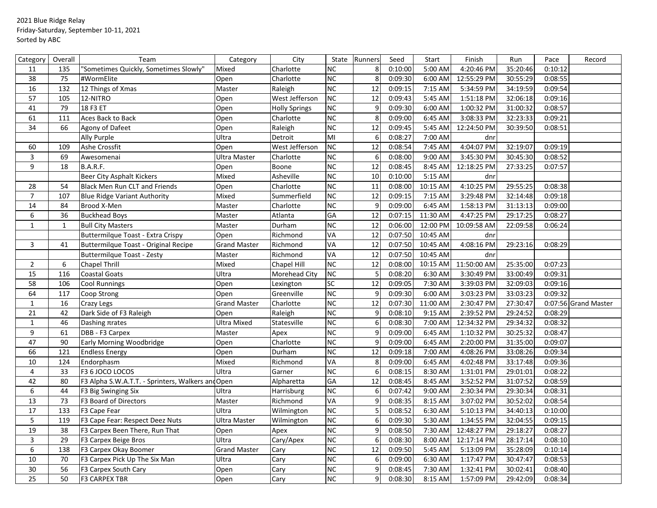## 2021 Blue Ridge Relay Friday-Saturday, September 10-11, 2021 Sorted by ABC

| <b>NC</b><br>0:10:00<br>4:20:46 PM<br>"Sometimes Quickly, Sometimes Slowly"<br>Charlotte<br>8<br>5:00 AM<br>35:20:46<br>0:10:12<br>11<br>135<br>Mixed<br><b>NC</b><br>38<br>75<br>8<br>0:09:30<br>6:00 AM<br>12:55:29 PM<br>30:55:29<br>0:08:55<br>#WormElite<br>Open<br>Charlotte<br>$\overline{NC}$<br>12<br>0:09:15<br>5:34:59 PM<br>0:09:54<br>16<br>132<br>12 Things of Xmas<br>Master<br>Raleigh<br>7:15 AM<br>34:19:59<br>NC<br>57<br>West Jefferson<br>12<br>0:09:43<br>5:45 AM<br>1:51:18 PM<br>32:06:18<br>0:09:16<br>105<br>12-NITRO<br>Open<br><b>NC</b><br>18 F3 ET<br>9<br>0:09:30<br>41<br>79<br>Open<br><b>Holly Springs</b><br>6:00 AM<br>1:00:32 PM<br>31:00:32<br>0:08:57<br>NC<br>8<br>61<br>111<br>Aces Back to Back<br>0:09:00<br>6:45 AM<br>3:08:33 PM<br>32:23:33<br>0:09:21<br>Open<br>Charlotte<br>$\overline{NC}$<br>$\overline{12}$<br>34<br>0:09:45<br>30:39:50<br>66<br>Raleigh<br>5:45 AM<br>12:24:50 PM<br>0:08:51<br>Agony of Dafeet<br>Open<br>MI<br>$\boldsymbol{6}$<br>0:08:27<br>7:00 AM<br>Ally Purple<br>Ultra<br>Detroit<br>dnr<br>12<br>4:04:07 PM<br>West Jefferson<br><b>NC</b><br>0:08:54<br>32:19:07<br>60<br>109<br>Ashe Crossfit<br>Open<br>7:45 AM<br>0:09:19<br>NC<br>3<br>0:08:00<br>9:00 AM<br>$3:45:30 \text{ PM}$<br>0:08:52<br>69<br>Charlotte<br>6<br>30:45:30<br>Awesomenai<br>Ultra Master<br>NC<br>$\overline{12}$<br>9<br>12:18:25 PM<br>18<br><b>B.A.R.F.</b><br>Boone<br>0:08:45<br>8:45 AM<br>27:33:25<br>0:07:57<br>Open<br><b>NC</b><br><b>Beer City Asphalt Kickers</b><br>Asheville<br>10<br>0:10:00<br>5:15 AM<br>Mixed<br>dnr<br>$\overline{NC}$<br>11<br>4:10:25 PM<br>54<br><b>Black Men Run CLT and Friends</b><br>Charlotte<br>0:08:00<br>10:15 AM<br>29:55:25<br>0:08:38<br>28<br>Open<br>NC<br>$\overline{7}$<br>12<br>0:09:15<br>7:15 AM<br>3:29:48 PM<br>0:09:18<br>107<br>Mixed<br>Summerfield<br>32:14:48<br><b>Blue Ridge Variant Authority</b><br><b>NC</b><br>14<br>$\boldsymbol{9}$<br>0:09:00<br>6:45 AM<br>1:58:13 PM<br>0:09:00<br>84<br>Brood X-Men<br>Master<br>Charlotte<br>31:13:13<br>$\overline{GA}$<br>6<br>12<br>0:07:15<br>4:47:25 PM<br>36<br>11:30 AM<br>29:17:25<br>0:08:27<br><b>Buckhead Boys</b><br>Master<br>Atlanta<br>$\overline{NC}$<br>$\mathbf{1}$<br>12<br>0:06:00<br>12:00 PM<br>Master<br>Durham<br>10:09:58 AM<br>22:09:58<br>0:06:24<br>$\mathbf{1}$<br><b>Bull City Masters</b><br>VA<br>0:07:50<br>Buttermilque Toast - Extra Crispy<br>Richmond<br>12<br>10:45 AM<br>dnr<br>Open<br>VA<br>12<br>0:07:50<br>4:08:16 PM<br>3<br><b>Grand Master</b><br>10:45 AM<br>29:23:16<br>41<br>Buttermilque Toast - Original Recipe<br>Richmond<br>0:08:29<br><b>VA</b><br>$\overline{12}$<br>0:07:50<br>10:45 AM<br>Richmond<br><b>Buttermilque Toast - Zesty</b><br>Master<br>dnr<br>NC<br>$\overline{2}$<br>6<br>Mixed<br>12<br>0:08:00<br>10:15 AM<br>11:50:00 AM<br>25:35:00<br>0:07:23<br>Chapel Thrill<br>Chapel Hill<br><b>NC</b><br>5<br>15<br>Ultra<br>0:08:20<br>6:30 AM<br>0:09:31<br>116<br>Coastal Goats<br>Morehead City<br>3:30:49 PM<br>33:00:49<br> SC <br>58<br>12<br>0:09:05<br>7:30 AM<br>3:39:03 PM<br>32:09:03<br>0:09:16<br>106<br>Open<br>Cool Runnings<br>Lexington<br>NC<br>9<br>0:09:30<br>3:03:23 PM<br>64<br>117<br>Greenville<br>6:00 AM<br>33:03:23<br>0:09:32<br>Coop Strong<br>Open<br><b>NC</b><br>12<br>$\mathbf{1}$<br>0:07:30<br>11:00 AM<br>2:30:47 PM<br>27:30:47<br>16<br><b>Grand Master</b><br>Charlotte<br>0:07:56 Grand Master<br>Crazy Legs<br>NC<br>21<br>9<br>0:08:10<br>9:15 AM<br>2:39:52 PM<br>29:24:52<br>0:08:29<br>42<br>Dark Side of F3 Raleigh<br>Raleigh<br>Open<br>NC<br>$\mathbf 1$<br>6<br>0:08:30<br>12:34:32 PM<br>46<br><b>Ultra Mixed</b><br>Statesville<br>7:00 AM<br>29:34:32<br>0:08:32<br>Dashing Trates<br>9<br><b>NC</b><br>9<br>0:09:00<br>1:10:32 PM<br>0:08:47<br>61<br>DBB - F3 Carpex<br>6:45 AM<br>30:25:32<br>Master<br>Apex<br>$\overline{NC}$<br>9<br>0:09:00<br>2:20:00 PM<br>0:09:07<br>47<br>90<br>Charlotte<br>6:45 AM<br>31:35:00<br>Early Morning Woodbridge<br>Open<br>66<br><b>NC</b><br>12<br>0:09:18<br>121<br><b>Endless Energy</b><br>Open<br>Durham<br>7:00 AM<br>4:08:26 PM<br>33:08:26<br>0:09:34<br><b>VA</b><br>Mixed<br>0:09:00<br>6:45 AM<br>10<br>124<br>Endorphasm<br>Richmond<br>8<br>4:02:48 PM<br>33:17:48<br>0:09:36<br>$\overline{4}$<br><b>NC</b><br>$\boldsymbol{6}$<br>33<br>Ultra<br>0:08:15<br>8:30 AM<br>1:31:01 PM<br>29:01:01<br>0:08:22<br>F3 6 JOCO LOCOS<br>Garner<br>GA<br>12<br>3:52:52 PM<br>0:08:59<br>42<br>80<br>F3 Alpha S.W.A.T.T. - Sprinters, Walkers and Open<br>0:08:45<br>8:45 AM<br>31:07:52<br>Alpharetta |
|----------------------------------------------------------------------------------------------------------------------------------------------------------------------------------------------------------------------------------------------------------------------------------------------------------------------------------------------------------------------------------------------------------------------------------------------------------------------------------------------------------------------------------------------------------------------------------------------------------------------------------------------------------------------------------------------------------------------------------------------------------------------------------------------------------------------------------------------------------------------------------------------------------------------------------------------------------------------------------------------------------------------------------------------------------------------------------------------------------------------------------------------------------------------------------------------------------------------------------------------------------------------------------------------------------------------------------------------------------------------------------------------------------------------------------------------------------------------------------------------------------------------------------------------------------------------------------------------------------------------------------------------------------------------------------------------------------------------------------------------------------------------------------------------------------------------------------------------------------------------------------------------------------------------------------------------------------------------------------------------------------------------------------------------------------------------------------------------------------------------------------------------------------------------------------------------------------------------------------------------------------------------------------------------------------------------------------------------------------------------------------------------------------------------------------------------------------------------------------------------------------------------------------------------------------------------------------------------------------------------------------------------------------------------------------------------------------------------------------------------------------------------------------------------------------------------------------------------------------------------------------------------------------------------------------------------------------------------------------------------------------------------------------------------------------------------------------------------------------------------------------------------------------------------------------------------------------------------------------------------------------------------------------------------------------------------------------------------------------------------------------------------------------------------------------------------------------------------------------------------------------------------------------------------------------------------------------------------------------------------------------------------------------------------------------------------------------------------------------------------------------------------------------------------------------------------------------------------------------------------------------------------------------------------------------------------------------------------------------------------------------------------------------------------------------------------------------------------------------------------------------------------------------------------------------------------------------------------------------------------------------------------------------------------------------------------------------------------------------------------------------------------------------------------------------------------------------------------------------------------------------------------------------------------------------------------------------------------------------------------------------------------------|
|                                                                                                                                                                                                                                                                                                                                                                                                                                                                                                                                                                                                                                                                                                                                                                                                                                                                                                                                                                                                                                                                                                                                                                                                                                                                                                                                                                                                                                                                                                                                                                                                                                                                                                                                                                                                                                                                                                                                                                                                                                                                                                                                                                                                                                                                                                                                                                                                                                                                                                                                                                                                                                                                                                                                                                                                                                                                                                                                                                                                                                                                                                                                                                                                                                                                                                                                                                                                                                                                                                                                                                                                                                                                                                                                                                                                                                                                                                                                                                                                                                                                                                                                                                                                                                                                                                                                                                                                                                                                                                                                                                                                                                                    |
|                                                                                                                                                                                                                                                                                                                                                                                                                                                                                                                                                                                                                                                                                                                                                                                                                                                                                                                                                                                                                                                                                                                                                                                                                                                                                                                                                                                                                                                                                                                                                                                                                                                                                                                                                                                                                                                                                                                                                                                                                                                                                                                                                                                                                                                                                                                                                                                                                                                                                                                                                                                                                                                                                                                                                                                                                                                                                                                                                                                                                                                                                                                                                                                                                                                                                                                                                                                                                                                                                                                                                                                                                                                                                                                                                                                                                                                                                                                                                                                                                                                                                                                                                                                                                                                                                                                                                                                                                                                                                                                                                                                                                                                    |
|                                                                                                                                                                                                                                                                                                                                                                                                                                                                                                                                                                                                                                                                                                                                                                                                                                                                                                                                                                                                                                                                                                                                                                                                                                                                                                                                                                                                                                                                                                                                                                                                                                                                                                                                                                                                                                                                                                                                                                                                                                                                                                                                                                                                                                                                                                                                                                                                                                                                                                                                                                                                                                                                                                                                                                                                                                                                                                                                                                                                                                                                                                                                                                                                                                                                                                                                                                                                                                                                                                                                                                                                                                                                                                                                                                                                                                                                                                                                                                                                                                                                                                                                                                                                                                                                                                                                                                                                                                                                                                                                                                                                                                                    |
|                                                                                                                                                                                                                                                                                                                                                                                                                                                                                                                                                                                                                                                                                                                                                                                                                                                                                                                                                                                                                                                                                                                                                                                                                                                                                                                                                                                                                                                                                                                                                                                                                                                                                                                                                                                                                                                                                                                                                                                                                                                                                                                                                                                                                                                                                                                                                                                                                                                                                                                                                                                                                                                                                                                                                                                                                                                                                                                                                                                                                                                                                                                                                                                                                                                                                                                                                                                                                                                                                                                                                                                                                                                                                                                                                                                                                                                                                                                                                                                                                                                                                                                                                                                                                                                                                                                                                                                                                                                                                                                                                                                                                                                    |
|                                                                                                                                                                                                                                                                                                                                                                                                                                                                                                                                                                                                                                                                                                                                                                                                                                                                                                                                                                                                                                                                                                                                                                                                                                                                                                                                                                                                                                                                                                                                                                                                                                                                                                                                                                                                                                                                                                                                                                                                                                                                                                                                                                                                                                                                                                                                                                                                                                                                                                                                                                                                                                                                                                                                                                                                                                                                                                                                                                                                                                                                                                                                                                                                                                                                                                                                                                                                                                                                                                                                                                                                                                                                                                                                                                                                                                                                                                                                                                                                                                                                                                                                                                                                                                                                                                                                                                                                                                                                                                                                                                                                                                                    |
|                                                                                                                                                                                                                                                                                                                                                                                                                                                                                                                                                                                                                                                                                                                                                                                                                                                                                                                                                                                                                                                                                                                                                                                                                                                                                                                                                                                                                                                                                                                                                                                                                                                                                                                                                                                                                                                                                                                                                                                                                                                                                                                                                                                                                                                                                                                                                                                                                                                                                                                                                                                                                                                                                                                                                                                                                                                                                                                                                                                                                                                                                                                                                                                                                                                                                                                                                                                                                                                                                                                                                                                                                                                                                                                                                                                                                                                                                                                                                                                                                                                                                                                                                                                                                                                                                                                                                                                                                                                                                                                                                                                                                                                    |
|                                                                                                                                                                                                                                                                                                                                                                                                                                                                                                                                                                                                                                                                                                                                                                                                                                                                                                                                                                                                                                                                                                                                                                                                                                                                                                                                                                                                                                                                                                                                                                                                                                                                                                                                                                                                                                                                                                                                                                                                                                                                                                                                                                                                                                                                                                                                                                                                                                                                                                                                                                                                                                                                                                                                                                                                                                                                                                                                                                                                                                                                                                                                                                                                                                                                                                                                                                                                                                                                                                                                                                                                                                                                                                                                                                                                                                                                                                                                                                                                                                                                                                                                                                                                                                                                                                                                                                                                                                                                                                                                                                                                                                                    |
|                                                                                                                                                                                                                                                                                                                                                                                                                                                                                                                                                                                                                                                                                                                                                                                                                                                                                                                                                                                                                                                                                                                                                                                                                                                                                                                                                                                                                                                                                                                                                                                                                                                                                                                                                                                                                                                                                                                                                                                                                                                                                                                                                                                                                                                                                                                                                                                                                                                                                                                                                                                                                                                                                                                                                                                                                                                                                                                                                                                                                                                                                                                                                                                                                                                                                                                                                                                                                                                                                                                                                                                                                                                                                                                                                                                                                                                                                                                                                                                                                                                                                                                                                                                                                                                                                                                                                                                                                                                                                                                                                                                                                                                    |
|                                                                                                                                                                                                                                                                                                                                                                                                                                                                                                                                                                                                                                                                                                                                                                                                                                                                                                                                                                                                                                                                                                                                                                                                                                                                                                                                                                                                                                                                                                                                                                                                                                                                                                                                                                                                                                                                                                                                                                                                                                                                                                                                                                                                                                                                                                                                                                                                                                                                                                                                                                                                                                                                                                                                                                                                                                                                                                                                                                                                                                                                                                                                                                                                                                                                                                                                                                                                                                                                                                                                                                                                                                                                                                                                                                                                                                                                                                                                                                                                                                                                                                                                                                                                                                                                                                                                                                                                                                                                                                                                                                                                                                                    |
|                                                                                                                                                                                                                                                                                                                                                                                                                                                                                                                                                                                                                                                                                                                                                                                                                                                                                                                                                                                                                                                                                                                                                                                                                                                                                                                                                                                                                                                                                                                                                                                                                                                                                                                                                                                                                                                                                                                                                                                                                                                                                                                                                                                                                                                                                                                                                                                                                                                                                                                                                                                                                                                                                                                                                                                                                                                                                                                                                                                                                                                                                                                                                                                                                                                                                                                                                                                                                                                                                                                                                                                                                                                                                                                                                                                                                                                                                                                                                                                                                                                                                                                                                                                                                                                                                                                                                                                                                                                                                                                                                                                                                                                    |
|                                                                                                                                                                                                                                                                                                                                                                                                                                                                                                                                                                                                                                                                                                                                                                                                                                                                                                                                                                                                                                                                                                                                                                                                                                                                                                                                                                                                                                                                                                                                                                                                                                                                                                                                                                                                                                                                                                                                                                                                                                                                                                                                                                                                                                                                                                                                                                                                                                                                                                                                                                                                                                                                                                                                                                                                                                                                                                                                                                                                                                                                                                                                                                                                                                                                                                                                                                                                                                                                                                                                                                                                                                                                                                                                                                                                                                                                                                                                                                                                                                                                                                                                                                                                                                                                                                                                                                                                                                                                                                                                                                                                                                                    |
|                                                                                                                                                                                                                                                                                                                                                                                                                                                                                                                                                                                                                                                                                                                                                                                                                                                                                                                                                                                                                                                                                                                                                                                                                                                                                                                                                                                                                                                                                                                                                                                                                                                                                                                                                                                                                                                                                                                                                                                                                                                                                                                                                                                                                                                                                                                                                                                                                                                                                                                                                                                                                                                                                                                                                                                                                                                                                                                                                                                                                                                                                                                                                                                                                                                                                                                                                                                                                                                                                                                                                                                                                                                                                                                                                                                                                                                                                                                                                                                                                                                                                                                                                                                                                                                                                                                                                                                                                                                                                                                                                                                                                                                    |
|                                                                                                                                                                                                                                                                                                                                                                                                                                                                                                                                                                                                                                                                                                                                                                                                                                                                                                                                                                                                                                                                                                                                                                                                                                                                                                                                                                                                                                                                                                                                                                                                                                                                                                                                                                                                                                                                                                                                                                                                                                                                                                                                                                                                                                                                                                                                                                                                                                                                                                                                                                                                                                                                                                                                                                                                                                                                                                                                                                                                                                                                                                                                                                                                                                                                                                                                                                                                                                                                                                                                                                                                                                                                                                                                                                                                                                                                                                                                                                                                                                                                                                                                                                                                                                                                                                                                                                                                                                                                                                                                                                                                                                                    |
|                                                                                                                                                                                                                                                                                                                                                                                                                                                                                                                                                                                                                                                                                                                                                                                                                                                                                                                                                                                                                                                                                                                                                                                                                                                                                                                                                                                                                                                                                                                                                                                                                                                                                                                                                                                                                                                                                                                                                                                                                                                                                                                                                                                                                                                                                                                                                                                                                                                                                                                                                                                                                                                                                                                                                                                                                                                                                                                                                                                                                                                                                                                                                                                                                                                                                                                                                                                                                                                                                                                                                                                                                                                                                                                                                                                                                                                                                                                                                                                                                                                                                                                                                                                                                                                                                                                                                                                                                                                                                                                                                                                                                                                    |
|                                                                                                                                                                                                                                                                                                                                                                                                                                                                                                                                                                                                                                                                                                                                                                                                                                                                                                                                                                                                                                                                                                                                                                                                                                                                                                                                                                                                                                                                                                                                                                                                                                                                                                                                                                                                                                                                                                                                                                                                                                                                                                                                                                                                                                                                                                                                                                                                                                                                                                                                                                                                                                                                                                                                                                                                                                                                                                                                                                                                                                                                                                                                                                                                                                                                                                                                                                                                                                                                                                                                                                                                                                                                                                                                                                                                                                                                                                                                                                                                                                                                                                                                                                                                                                                                                                                                                                                                                                                                                                                                                                                                                                                    |
|                                                                                                                                                                                                                                                                                                                                                                                                                                                                                                                                                                                                                                                                                                                                                                                                                                                                                                                                                                                                                                                                                                                                                                                                                                                                                                                                                                                                                                                                                                                                                                                                                                                                                                                                                                                                                                                                                                                                                                                                                                                                                                                                                                                                                                                                                                                                                                                                                                                                                                                                                                                                                                                                                                                                                                                                                                                                                                                                                                                                                                                                                                                                                                                                                                                                                                                                                                                                                                                                                                                                                                                                                                                                                                                                                                                                                                                                                                                                                                                                                                                                                                                                                                                                                                                                                                                                                                                                                                                                                                                                                                                                                                                    |
|                                                                                                                                                                                                                                                                                                                                                                                                                                                                                                                                                                                                                                                                                                                                                                                                                                                                                                                                                                                                                                                                                                                                                                                                                                                                                                                                                                                                                                                                                                                                                                                                                                                                                                                                                                                                                                                                                                                                                                                                                                                                                                                                                                                                                                                                                                                                                                                                                                                                                                                                                                                                                                                                                                                                                                                                                                                                                                                                                                                                                                                                                                                                                                                                                                                                                                                                                                                                                                                                                                                                                                                                                                                                                                                                                                                                                                                                                                                                                                                                                                                                                                                                                                                                                                                                                                                                                                                                                                                                                                                                                                                                                                                    |
|                                                                                                                                                                                                                                                                                                                                                                                                                                                                                                                                                                                                                                                                                                                                                                                                                                                                                                                                                                                                                                                                                                                                                                                                                                                                                                                                                                                                                                                                                                                                                                                                                                                                                                                                                                                                                                                                                                                                                                                                                                                                                                                                                                                                                                                                                                                                                                                                                                                                                                                                                                                                                                                                                                                                                                                                                                                                                                                                                                                                                                                                                                                                                                                                                                                                                                                                                                                                                                                                                                                                                                                                                                                                                                                                                                                                                                                                                                                                                                                                                                                                                                                                                                                                                                                                                                                                                                                                                                                                                                                                                                                                                                                    |
|                                                                                                                                                                                                                                                                                                                                                                                                                                                                                                                                                                                                                                                                                                                                                                                                                                                                                                                                                                                                                                                                                                                                                                                                                                                                                                                                                                                                                                                                                                                                                                                                                                                                                                                                                                                                                                                                                                                                                                                                                                                                                                                                                                                                                                                                                                                                                                                                                                                                                                                                                                                                                                                                                                                                                                                                                                                                                                                                                                                                                                                                                                                                                                                                                                                                                                                                                                                                                                                                                                                                                                                                                                                                                                                                                                                                                                                                                                                                                                                                                                                                                                                                                                                                                                                                                                                                                                                                                                                                                                                                                                                                                                                    |
|                                                                                                                                                                                                                                                                                                                                                                                                                                                                                                                                                                                                                                                                                                                                                                                                                                                                                                                                                                                                                                                                                                                                                                                                                                                                                                                                                                                                                                                                                                                                                                                                                                                                                                                                                                                                                                                                                                                                                                                                                                                                                                                                                                                                                                                                                                                                                                                                                                                                                                                                                                                                                                                                                                                                                                                                                                                                                                                                                                                                                                                                                                                                                                                                                                                                                                                                                                                                                                                                                                                                                                                                                                                                                                                                                                                                                                                                                                                                                                                                                                                                                                                                                                                                                                                                                                                                                                                                                                                                                                                                                                                                                                                    |
|                                                                                                                                                                                                                                                                                                                                                                                                                                                                                                                                                                                                                                                                                                                                                                                                                                                                                                                                                                                                                                                                                                                                                                                                                                                                                                                                                                                                                                                                                                                                                                                                                                                                                                                                                                                                                                                                                                                                                                                                                                                                                                                                                                                                                                                                                                                                                                                                                                                                                                                                                                                                                                                                                                                                                                                                                                                                                                                                                                                                                                                                                                                                                                                                                                                                                                                                                                                                                                                                                                                                                                                                                                                                                                                                                                                                                                                                                                                                                                                                                                                                                                                                                                                                                                                                                                                                                                                                                                                                                                                                                                                                                                                    |
|                                                                                                                                                                                                                                                                                                                                                                                                                                                                                                                                                                                                                                                                                                                                                                                                                                                                                                                                                                                                                                                                                                                                                                                                                                                                                                                                                                                                                                                                                                                                                                                                                                                                                                                                                                                                                                                                                                                                                                                                                                                                                                                                                                                                                                                                                                                                                                                                                                                                                                                                                                                                                                                                                                                                                                                                                                                                                                                                                                                                                                                                                                                                                                                                                                                                                                                                                                                                                                                                                                                                                                                                                                                                                                                                                                                                                                                                                                                                                                                                                                                                                                                                                                                                                                                                                                                                                                                                                                                                                                                                                                                                                                                    |
|                                                                                                                                                                                                                                                                                                                                                                                                                                                                                                                                                                                                                                                                                                                                                                                                                                                                                                                                                                                                                                                                                                                                                                                                                                                                                                                                                                                                                                                                                                                                                                                                                                                                                                                                                                                                                                                                                                                                                                                                                                                                                                                                                                                                                                                                                                                                                                                                                                                                                                                                                                                                                                                                                                                                                                                                                                                                                                                                                                                                                                                                                                                                                                                                                                                                                                                                                                                                                                                                                                                                                                                                                                                                                                                                                                                                                                                                                                                                                                                                                                                                                                                                                                                                                                                                                                                                                                                                                                                                                                                                                                                                                                                    |
|                                                                                                                                                                                                                                                                                                                                                                                                                                                                                                                                                                                                                                                                                                                                                                                                                                                                                                                                                                                                                                                                                                                                                                                                                                                                                                                                                                                                                                                                                                                                                                                                                                                                                                                                                                                                                                                                                                                                                                                                                                                                                                                                                                                                                                                                                                                                                                                                                                                                                                                                                                                                                                                                                                                                                                                                                                                                                                                                                                                                                                                                                                                                                                                                                                                                                                                                                                                                                                                                                                                                                                                                                                                                                                                                                                                                                                                                                                                                                                                                                                                                                                                                                                                                                                                                                                                                                                                                                                                                                                                                                                                                                                                    |
|                                                                                                                                                                                                                                                                                                                                                                                                                                                                                                                                                                                                                                                                                                                                                                                                                                                                                                                                                                                                                                                                                                                                                                                                                                                                                                                                                                                                                                                                                                                                                                                                                                                                                                                                                                                                                                                                                                                                                                                                                                                                                                                                                                                                                                                                                                                                                                                                                                                                                                                                                                                                                                                                                                                                                                                                                                                                                                                                                                                                                                                                                                                                                                                                                                                                                                                                                                                                                                                                                                                                                                                                                                                                                                                                                                                                                                                                                                                                                                                                                                                                                                                                                                                                                                                                                                                                                                                                                                                                                                                                                                                                                                                    |
|                                                                                                                                                                                                                                                                                                                                                                                                                                                                                                                                                                                                                                                                                                                                                                                                                                                                                                                                                                                                                                                                                                                                                                                                                                                                                                                                                                                                                                                                                                                                                                                                                                                                                                                                                                                                                                                                                                                                                                                                                                                                                                                                                                                                                                                                                                                                                                                                                                                                                                                                                                                                                                                                                                                                                                                                                                                                                                                                                                                                                                                                                                                                                                                                                                                                                                                                                                                                                                                                                                                                                                                                                                                                                                                                                                                                                                                                                                                                                                                                                                                                                                                                                                                                                                                                                                                                                                                                                                                                                                                                                                                                                                                    |
|                                                                                                                                                                                                                                                                                                                                                                                                                                                                                                                                                                                                                                                                                                                                                                                                                                                                                                                                                                                                                                                                                                                                                                                                                                                                                                                                                                                                                                                                                                                                                                                                                                                                                                                                                                                                                                                                                                                                                                                                                                                                                                                                                                                                                                                                                                                                                                                                                                                                                                                                                                                                                                                                                                                                                                                                                                                                                                                                                                                                                                                                                                                                                                                                                                                                                                                                                                                                                                                                                                                                                                                                                                                                                                                                                                                                                                                                                                                                                                                                                                                                                                                                                                                                                                                                                                                                                                                                                                                                                                                                                                                                                                                    |
|                                                                                                                                                                                                                                                                                                                                                                                                                                                                                                                                                                                                                                                                                                                                                                                                                                                                                                                                                                                                                                                                                                                                                                                                                                                                                                                                                                                                                                                                                                                                                                                                                                                                                                                                                                                                                                                                                                                                                                                                                                                                                                                                                                                                                                                                                                                                                                                                                                                                                                                                                                                                                                                                                                                                                                                                                                                                                                                                                                                                                                                                                                                                                                                                                                                                                                                                                                                                                                                                                                                                                                                                                                                                                                                                                                                                                                                                                                                                                                                                                                                                                                                                                                                                                                                                                                                                                                                                                                                                                                                                                                                                                                                    |
|                                                                                                                                                                                                                                                                                                                                                                                                                                                                                                                                                                                                                                                                                                                                                                                                                                                                                                                                                                                                                                                                                                                                                                                                                                                                                                                                                                                                                                                                                                                                                                                                                                                                                                                                                                                                                                                                                                                                                                                                                                                                                                                                                                                                                                                                                                                                                                                                                                                                                                                                                                                                                                                                                                                                                                                                                                                                                                                                                                                                                                                                                                                                                                                                                                                                                                                                                                                                                                                                                                                                                                                                                                                                                                                                                                                                                                                                                                                                                                                                                                                                                                                                                                                                                                                                                                                                                                                                                                                                                                                                                                                                                                                    |
|                                                                                                                                                                                                                                                                                                                                                                                                                                                                                                                                                                                                                                                                                                                                                                                                                                                                                                                                                                                                                                                                                                                                                                                                                                                                                                                                                                                                                                                                                                                                                                                                                                                                                                                                                                                                                                                                                                                                                                                                                                                                                                                                                                                                                                                                                                                                                                                                                                                                                                                                                                                                                                                                                                                                                                                                                                                                                                                                                                                                                                                                                                                                                                                                                                                                                                                                                                                                                                                                                                                                                                                                                                                                                                                                                                                                                                                                                                                                                                                                                                                                                                                                                                                                                                                                                                                                                                                                                                                                                                                                                                                                                                                    |
|                                                                                                                                                                                                                                                                                                                                                                                                                                                                                                                                                                                                                                                                                                                                                                                                                                                                                                                                                                                                                                                                                                                                                                                                                                                                                                                                                                                                                                                                                                                                                                                                                                                                                                                                                                                                                                                                                                                                                                                                                                                                                                                                                                                                                                                                                                                                                                                                                                                                                                                                                                                                                                                                                                                                                                                                                                                                                                                                                                                                                                                                                                                                                                                                                                                                                                                                                                                                                                                                                                                                                                                                                                                                                                                                                                                                                                                                                                                                                                                                                                                                                                                                                                                                                                                                                                                                                                                                                                                                                                                                                                                                                                                    |
|                                                                                                                                                                                                                                                                                                                                                                                                                                                                                                                                                                                                                                                                                                                                                                                                                                                                                                                                                                                                                                                                                                                                                                                                                                                                                                                                                                                                                                                                                                                                                                                                                                                                                                                                                                                                                                                                                                                                                                                                                                                                                                                                                                                                                                                                                                                                                                                                                                                                                                                                                                                                                                                                                                                                                                                                                                                                                                                                                                                                                                                                                                                                                                                                                                                                                                                                                                                                                                                                                                                                                                                                                                                                                                                                                                                                                                                                                                                                                                                                                                                                                                                                                                                                                                                                                                                                                                                                                                                                                                                                                                                                                                                    |
|                                                                                                                                                                                                                                                                                                                                                                                                                                                                                                                                                                                                                                                                                                                                                                                                                                                                                                                                                                                                                                                                                                                                                                                                                                                                                                                                                                                                                                                                                                                                                                                                                                                                                                                                                                                                                                                                                                                                                                                                                                                                                                                                                                                                                                                                                                                                                                                                                                                                                                                                                                                                                                                                                                                                                                                                                                                                                                                                                                                                                                                                                                                                                                                                                                                                                                                                                                                                                                                                                                                                                                                                                                                                                                                                                                                                                                                                                                                                                                                                                                                                                                                                                                                                                                                                                                                                                                                                                                                                                                                                                                                                                                                    |
| NC<br>6<br>44<br>$\boldsymbol{6}$<br>0:07:42<br>9:00 AM<br>2:30:34 PM<br>29:30:34<br>0:08:31<br>F3 Big Swinging Six<br>Ultra<br>Harrisburg                                                                                                                                                                                                                                                                                                                                                                                                                                                                                                                                                                                                                                                                                                                                                                                                                                                                                                                                                                                                                                                                                                                                                                                                                                                                                                                                                                                                                                                                                                                                                                                                                                                                                                                                                                                                                                                                                                                                                                                                                                                                                                                                                                                                                                                                                                                                                                                                                                                                                                                                                                                                                                                                                                                                                                                                                                                                                                                                                                                                                                                                                                                                                                                                                                                                                                                                                                                                                                                                                                                                                                                                                                                                                                                                                                                                                                                                                                                                                                                                                                                                                                                                                                                                                                                                                                                                                                                                                                                                                                         |
| VA<br>9<br>13<br>73<br>0:08:35<br>8:15 AM<br>3:07:02 PM<br>30:52:02<br>0:08:54<br>F3 Board of Directors<br>Master<br>Richmond                                                                                                                                                                                                                                                                                                                                                                                                                                                                                                                                                                                                                                                                                                                                                                                                                                                                                                                                                                                                                                                                                                                                                                                                                                                                                                                                                                                                                                                                                                                                                                                                                                                                                                                                                                                                                                                                                                                                                                                                                                                                                                                                                                                                                                                                                                                                                                                                                                                                                                                                                                                                                                                                                                                                                                                                                                                                                                                                                                                                                                                                                                                                                                                                                                                                                                                                                                                                                                                                                                                                                                                                                                                                                                                                                                                                                                                                                                                                                                                                                                                                                                                                                                                                                                                                                                                                                                                                                                                                                                                      |
| NC<br>17<br>5<br>0:08:52<br>5:10:13 PM<br>133<br>Ultra<br>6:30 AM<br>34:40:13<br>0:10:00<br>F3 Cape Fear<br>Wilmington                                                                                                                                                                                                                                                                                                                                                                                                                                                                                                                                                                                                                                                                                                                                                                                                                                                                                                                                                                                                                                                                                                                                                                                                                                                                                                                                                                                                                                                                                                                                                                                                                                                                                                                                                                                                                                                                                                                                                                                                                                                                                                                                                                                                                                                                                                                                                                                                                                                                                                                                                                                                                                                                                                                                                                                                                                                                                                                                                                                                                                                                                                                                                                                                                                                                                                                                                                                                                                                                                                                                                                                                                                                                                                                                                                                                                                                                                                                                                                                                                                                                                                                                                                                                                                                                                                                                                                                                                                                                                                                             |
| NC<br>5<br>6<br>0:09:30<br>5:30 AM<br>1:34:55 PM<br>119<br>F3 Cape Fear: Respect Deez Nuts<br><b>Ultra Master</b><br>32:04:55<br>0:09:15<br>Wilmington                                                                                                                                                                                                                                                                                                                                                                                                                                                                                                                                                                                                                                                                                                                                                                                                                                                                                                                                                                                                                                                                                                                                                                                                                                                                                                                                                                                                                                                                                                                                                                                                                                                                                                                                                                                                                                                                                                                                                                                                                                                                                                                                                                                                                                                                                                                                                                                                                                                                                                                                                                                                                                                                                                                                                                                                                                                                                                                                                                                                                                                                                                                                                                                                                                                                                                                                                                                                                                                                                                                                                                                                                                                                                                                                                                                                                                                                                                                                                                                                                                                                                                                                                                                                                                                                                                                                                                                                                                                                                             |
| <b>NC</b><br>9<br>19<br>0:08:50<br>7:30 AM<br>12:48:27 PM<br>29:18:27<br>0:08:27<br>38<br>F3 Carpex Been There, Run That<br>Open<br>Apex                                                                                                                                                                                                                                                                                                                                                                                                                                                                                                                                                                                                                                                                                                                                                                                                                                                                                                                                                                                                                                                                                                                                                                                                                                                                                                                                                                                                                                                                                                                                                                                                                                                                                                                                                                                                                                                                                                                                                                                                                                                                                                                                                                                                                                                                                                                                                                                                                                                                                                                                                                                                                                                                                                                                                                                                                                                                                                                                                                                                                                                                                                                                                                                                                                                                                                                                                                                                                                                                                                                                                                                                                                                                                                                                                                                                                                                                                                                                                                                                                                                                                                                                                                                                                                                                                                                                                                                                                                                                                                           |
| $\overline{3}$<br>$\overline{NC}$<br>29<br>Ultra<br>6<br>0:08:30<br>28:17:14<br>0:08:10<br>Cary/Apex<br>8:00 AM<br>12:17:14 PM<br>F3 Carpex Beige Bros                                                                                                                                                                                                                                                                                                                                                                                                                                                                                                                                                                                                                                                                                                                                                                                                                                                                                                                                                                                                                                                                                                                                                                                                                                                                                                                                                                                                                                                                                                                                                                                                                                                                                                                                                                                                                                                                                                                                                                                                                                                                                                                                                                                                                                                                                                                                                                                                                                                                                                                                                                                                                                                                                                                                                                                                                                                                                                                                                                                                                                                                                                                                                                                                                                                                                                                                                                                                                                                                                                                                                                                                                                                                                                                                                                                                                                                                                                                                                                                                                                                                                                                                                                                                                                                                                                                                                                                                                                                                                             |
| 6<br>NC<br>$\overline{12}$<br>0:09:50<br>138<br>F3 Carpex Okay Boomer<br><b>Grand Master</b><br>5:45 AM<br>5:13:09 PM<br>35:28:09<br>0:10:14<br>Cary                                                                                                                                                                                                                                                                                                                                                                                                                                                                                                                                                                                                                                                                                                                                                                                                                                                                                                                                                                                                                                                                                                                                                                                                                                                                                                                                                                                                                                                                                                                                                                                                                                                                                                                                                                                                                                                                                                                                                                                                                                                                                                                                                                                                                                                                                                                                                                                                                                                                                                                                                                                                                                                                                                                                                                                                                                                                                                                                                                                                                                                                                                                                                                                                                                                                                                                                                                                                                                                                                                                                                                                                                                                                                                                                                                                                                                                                                                                                                                                                                                                                                                                                                                                                                                                                                                                                                                                                                                                                                               |
| NC<br>10<br>70<br>$\boldsymbol{6}$<br>0:09:00<br>1:17:47 PM<br>30:47:47<br>0:08:53<br>F3 Carpex Pick Up The Six Man<br>Ultra<br>6:30 AM<br>Cary                                                                                                                                                                                                                                                                                                                                                                                                                                                                                                                                                                                                                                                                                                                                                                                                                                                                                                                                                                                                                                                                                                                                                                                                                                                                                                                                                                                                                                                                                                                                                                                                                                                                                                                                                                                                                                                                                                                                                                                                                                                                                                                                                                                                                                                                                                                                                                                                                                                                                                                                                                                                                                                                                                                                                                                                                                                                                                                                                                                                                                                                                                                                                                                                                                                                                                                                                                                                                                                                                                                                                                                                                                                                                                                                                                                                                                                                                                                                                                                                                                                                                                                                                                                                                                                                                                                                                                                                                                                                                                    |
| $\overline{NC}$<br>30<br>56<br>9<br>0:08:40<br>Cary<br>0:08:45<br>7:30 AM<br>1:32:41 PM<br>30:02:41<br>F3 Carpex South Cary<br>Open                                                                                                                                                                                                                                                                                                                                                                                                                                                                                                                                                                                                                                                                                                                                                                                                                                                                                                                                                                                                                                                                                                                                                                                                                                                                                                                                                                                                                                                                                                                                                                                                                                                                                                                                                                                                                                                                                                                                                                                                                                                                                                                                                                                                                                                                                                                                                                                                                                                                                                                                                                                                                                                                                                                                                                                                                                                                                                                                                                                                                                                                                                                                                                                                                                                                                                                                                                                                                                                                                                                                                                                                                                                                                                                                                                                                                                                                                                                                                                                                                                                                                                                                                                                                                                                                                                                                                                                                                                                                                                                |
| 25<br><b>NC</b><br>9<br>0:08:30<br>50<br><b>F3 CARPEX TBR</b><br>8:15 AM<br>1:57:09 PM<br>29:42:09<br>0:08:34<br>Open<br>Cary                                                                                                                                                                                                                                                                                                                                                                                                                                                                                                                                                                                                                                                                                                                                                                                                                                                                                                                                                                                                                                                                                                                                                                                                                                                                                                                                                                                                                                                                                                                                                                                                                                                                                                                                                                                                                                                                                                                                                                                                                                                                                                                                                                                                                                                                                                                                                                                                                                                                                                                                                                                                                                                                                                                                                                                                                                                                                                                                                                                                                                                                                                                                                                                                                                                                                                                                                                                                                                                                                                                                                                                                                                                                                                                                                                                                                                                                                                                                                                                                                                                                                                                                                                                                                                                                                                                                                                                                                                                                                                                      |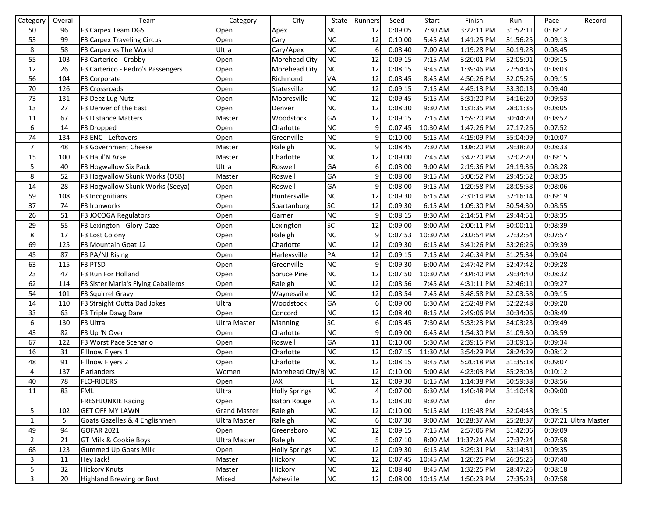| Category       | Overall | Team                                | Category            | City                 | State     | Runners | Seed    | Start     | Finish      | Run      | Pace    | Record               |
|----------------|---------|-------------------------------------|---------------------|----------------------|-----------|---------|---------|-----------|-------------|----------|---------|----------------------|
| 50             | 96      | F3 Carpex Team DGS                  | Open                | Apex                 | <b>NC</b> | 12      | 0:09:05 | 7:30 AM   | 3:22:11 PM  | 31:52:11 | 0:09:12 |                      |
| 53             | 99      | F3 Carpex Traveling Circus          | Open                | Cary                 | <b>NC</b> | 12      | 0:10:00 | $5:45$ AM | 1:41:25 PM  | 31:56:25 | 0:09:13 |                      |
| 8              | 58      | F3 Carpex vs The World              | Ultra               | Cary/Apex            | <b>NC</b> | 6       | 0:08:40 | 7:00 AM   | 1:19:28 PM  | 30:19:28 | 0:08:45 |                      |
| 55             | 103     | F3 Carterico - Crabby               | Open                | Morehead City        | <b>NC</b> | 12      | 0:09:15 | 7:15 AM   | 3:20:01 PM  | 32:05:01 | 0:09:15 |                      |
| 12             | 26      | F3 Carterico - Pedro's Passengers   | Open                | <b>Morehead City</b> | <b>NC</b> | 12      | 0:08:15 | 9:45 AM   | 1:39:46 PM  | 27:54:46 | 0:08:03 |                      |
| 56             | 104     | F3 Corporate                        | Open                | Richmond             | VA        | 12      | 0:08:45 | 8:45 AM   | 4:50:26 PM  | 32:05:26 | 0:09:15 |                      |
| 70             | 126     | F3 Crossroads                       | Open                | Statesville          | <b>NC</b> | 12      | 0:09:15 | 7:15 AM   | 4:45:13 PM  | 33:30:13 | 0:09:40 |                      |
| 73             | 131     | F3 Deez Lug Nutz                    | Open                | Mooresville          | <b>NC</b> | 12      | 0:09:45 | 5:15 AM   | 3:31:20 PM  | 34:16:20 | 0:09:53 |                      |
| 13             | 27      | F3 Denver of the East               | Open                | Denver               | <b>NC</b> | 12      | 0:08:30 | $9:30$ AM | 1:31:35 PM  | 28:01:35 | 0:08:05 |                      |
| 11             | 67      | F3 Distance Matters                 | Master              | Woodstock            | GA        | 12      | 0:09:15 | 7:15 AM   | 1:59:20 PM  | 30:44:20 | 0:08:52 |                      |
| 6              | 14      | F3 Dropped                          | Open                | Charlotte            | <b>NC</b> | 9       | 0:07:45 | 10:30 AM  | 1:47:26 PM  | 27:17:26 | 0:07:52 |                      |
| 74             | 134     | F3 ENC - Leftovers                  | Open                | Greenville           | <b>NC</b> | 9       | 0:10:00 | 5:15 AM   | 4:19:09 PM  | 35:04:09 | 0:10:07 |                      |
| $\overline{7}$ | 48      | F3 Government Cheese                | Master              | Raleigh              | <b>NC</b> | 9       | 0:08:45 | 7:30 AM   | 1:08:20 PM  | 29:38:20 | 0:08:33 |                      |
| 15             | 100     | F3 Haul'N Arse                      | Master              | Charlotte            | <b>NC</b> | 12      | 0:09:00 | 7:45 AM   | 3:47:20 PM  | 32:02:20 | 0:09:15 |                      |
| 5              | 40      | F3 Hogwallow Six Pack               | Ultra               | Roswell              | GA        | 6       | 0:08:00 | $9:00$ AM | 2:19:36 PM  | 29:19:36 | 0:08:28 |                      |
| 8              | 52      | F3 Hogwallow Skunk Works (OSB)      | Master              | Roswell              | GA        | 9       | 0:08:00 | 9:15 AM   | 3:00:52 PM  | 29:45:52 | 0:08:35 |                      |
| 14             | 28      | F3 Hogwallow Skunk Works (Seeya)    | Open                | Roswell              | GA        | 9       | 0:08:00 | 9:15 AM   | 1:20:58 PM  | 28:05:58 | 0:08:06 |                      |
| 59             | 108     | F3 Incognitians                     | Open                | Huntersville         | <b>NC</b> | 12      | 0:09:30 | 6:15 AM   | 2:31:14 PM  | 32:16:14 | 0:09:19 |                      |
| 37             | 74      | F3 Ironworks                        | Open                | Spartanburg          | <b>SC</b> | 12      | 0:09:30 | 6:15 AM   | 1:09:30 PM  | 30:54:30 | 0:08:55 |                      |
| 26             | 51      | F3 JOCOGA Regulators                | Open                | Garner               | <b>NC</b> | 9       | 0:08:15 | 8:30 AM   | 2:14:51 PM  | 29:44:51 | 0:08:35 |                      |
| 29             | 55      | F3 Lexington - Glory Daze           | Open                | Lexington            | <b>SC</b> | 12      | 0:09:00 | 8:00 AM   | 2:00:11 PM  | 30:00:11 | 0:08:39 |                      |
| 8              | 17      | F3 Lost Colony                      | Open                | Raleigh              | <b>NC</b> | 9       | 0:07:53 | 10:30 AM  | 2:02:54 PM  | 27:32:54 | 0:07:57 |                      |
| 69             | 125     | F3 Mountain Goat 12                 | Open                | Charlotte            | <b>NC</b> | 12      | 0:09:30 | 6:15 AM   | 3:41:26 PM  | 33:26:26 | 0:09:39 |                      |
| 45             | 87      | F3 PA/NJ Rising                     | Open                | Harleysville         | PA        | 12      | 0:09:15 | 7:15 AM   | 2:40:34 PM  | 31:25:34 | 0:09:04 |                      |
| 63             | 115     | F3 PTSD                             | Open                | Greenville           | <b>NC</b> | 9       | 0:09:30 | 6:00 AM   | 2:47:42 PM  | 32:47:42 | 0:09:28 |                      |
| 23             | 47      | F3 Run For Holland                  | Open                | Spruce Pine          | <b>NC</b> | 12      | 0:07:50 | 10:30 AM  | 4:04:40 PM  | 29:34:40 | 0:08:32 |                      |
| 62             | 114     | F3 Sister Maria's Flying Caballeros | Open                | Raleigh              | <b>NC</b> | 12      | 0:08:56 | 7:45 AM   | 4:31:11 PM  | 32:46:11 | 0:09:27 |                      |
| 54             | 101     | F3 Squirrel Gravy                   | Open                | Waynesville          | <b>NC</b> | 12      | 0:08:54 | 7:45 AM   | 3:48:58 PM  | 32:03:58 | 0:09:15 |                      |
| 14             | 110     | F3 Straight Outta Dad Jokes         | Ultra               | Woodstock            | GA        | 6       | 0:09:00 | 6:30 AM   | 2:52:48 PM  | 32:22:48 | 0:09:20 |                      |
| 33             | 63      | F3 Triple Dawg Dare                 | Open                | Concord              | <b>NC</b> | 12      | 0:08:40 | 8:15 AM   | 2:49:06 PM  | 30:34:06 | 0:08:49 |                      |
| 6              | 130     | F3 Ultra                            | Ultra Master        | Manning              | <b>SC</b> | 6       | 0:08:45 | 7:30 AM   | 5:33:23 PM  | 34:03:23 | 0:09:49 |                      |
| 43             | 82      | F3 Up 'N Over                       | Open                | Charlotte            | <b>NC</b> | 9       | 0:09:00 | 6:45 AM   | 1:54:30 PM  | 31:09:30 | 0:08:59 |                      |
| 67             | 122     | F3 Worst Pace Scenario              | Open                | Roswell              | GA        | 11      | 0:10:00 | $5:30$ AM | 2:39:15 PM  | 33:09:15 | 0:09:34 |                      |
| 16             | 31      | Fillnow Flyers 1                    | Open                | Charlotte            | <b>NC</b> | 12      | 0:07:15 | 11:30 AM  | 3:54:29 PM  | 28:24:29 | 0:08:12 |                      |
| 48             | 91      | Fillnow Flyers 2                    | Open                | Charlotte            | <b>NC</b> | 12      | 0:08:15 | $9:45$ AM | 5:20:18 PM  | 31:35:18 | 0:09:07 |                      |
| 4              | 137     | Flatlanders                         | Women               | Morehead City/BONC   |           | 12      | 0:10:00 | 5:00 AM   | 4:23:03 PM  | 35:23:03 | 0:10:12 |                      |
| 40             | 78      | <b>FLO-RIDERS</b>                   | Open                | JAX                  | FL        | 12      | 0:09:30 | 6:15 AM   | 1:14:38 PM  | 30:59:38 | 0:08:56 |                      |
| 11             | 83      | <b>FML</b>                          | Ultra               | <b>Holly Springs</b> | <b>NC</b> | 4       | 0:07:00 | 6:30 AM   | 1:40:48 PM  | 31:10:48 | 0:09:00 |                      |
|                |         | <b>FRESHJUNKIE Racing</b>           | Open                | <b>Baton Rouge</b>   | LA        | 12      | 0:08:30 | $9:30$ AM | dnr         |          |         |                      |
| 5              | 102     | <b>GET OFF MY LAWN!</b>             | <b>Grand Master</b> | Raleigh              | <b>NC</b> | 12      | 0:10:00 | $5:15$ AM | 1:19:48 PM  | 32:04:48 | 0:09:15 |                      |
| $\mathbf{1}$   | 5       | Goats Gazelles & 4 Englishmen       | <b>Ultra Master</b> | Raleigh              | <b>NC</b> | 6       | 0:07:30 | 9:00 AM   | 10:28:37 AM | 25:28:37 |         | 0:07:21 Ultra Master |
| 49             | 94      | <b>GOFAR 2021</b>                   | Open                | Greensboro           | <b>NC</b> | 12      | 0:09:15 | 7:15 AM   | 2:57:06 PM  | 31:42:06 | 0:09:09 |                      |
| $\overline{2}$ | 21      | GT Milk & Cookie Boys               | <b>Ultra Master</b> | Raleigh              | <b>NC</b> | 5       | 0:07:10 | 8:00 AM   | 11:37:24 AM | 27:37:24 | 0:07:58 |                      |
| 68             | 123     | <b>Gummed Up Goats Milk</b>         | Open                | <b>Holly Springs</b> | <b>NC</b> | 12      | 0:09:30 | 6:15 AM   | 3:29:31 PM  | 33:14:31 | 0:09:35 |                      |
| 3              | 11      | Hey Jack!                           | Master              | Hickory              | <b>NC</b> | 12      | 0:07:45 | 10:45 AM  | 1:20:25 PM  | 26:35:25 | 0:07:40 |                      |
| 5              | 32      | <b>Hickory Knuts</b>                | Master              | Hickory              | <b>NC</b> | 12      | 0:08:40 | $8:45$ AM | 1:32:25 PM  | 28:47:25 | 0:08:18 |                      |
| 3              | 20      | <b>Highland Brewing or Bust</b>     | Mixed               | Asheville            | <b>NC</b> | 12      | 0:08:00 | 10:15 AM  | 1:50:23 PM  | 27:35:23 | 0:07:58 |                      |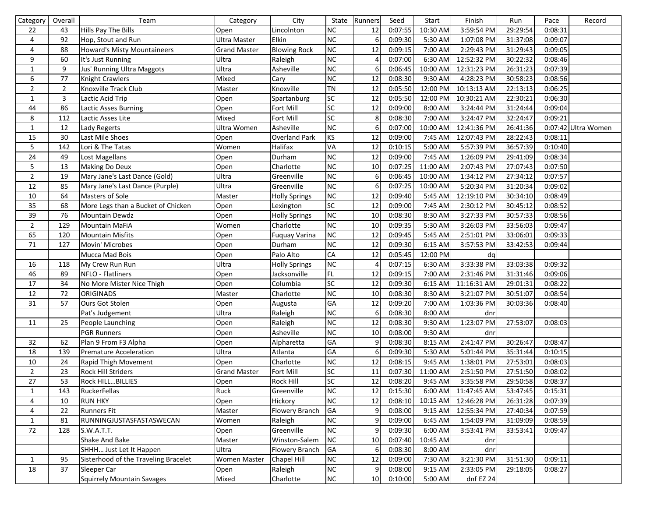| Category       | Overall        | Team                                 | Category            | City                 | State           | Runners        | Seed    | Start      | Finish               | Run      | Pace    | Record              |
|----------------|----------------|--------------------------------------|---------------------|----------------------|-----------------|----------------|---------|------------|----------------------|----------|---------|---------------------|
| 22             | 43             | Hills Pay The Bills                  | Open                | Lincolnton           | <b>NC</b>       | 12             | 0:07:55 | 10:30 AM   | 3:59:54 PM           | 29:29:54 | 0:08:31 |                     |
| 4              | 92             | Hop, Stout and Run                   | <b>Ultra Master</b> | <b>Elkin</b>         | <b>NC</b>       | 6              | 0:09:30 | $5:30$ AM  | 1:07:08 PM           | 31:37:08 | 0:09:07 |                     |
| $\overline{4}$ | 88             | Howard's Misty Mountaineers          | <b>Grand Master</b> | <b>Blowing Rock</b>  | <b>NC</b>       | 12             | 0:09:15 | 7:00 AM    | 2:29:43 PM           | 31:29:43 | 0:09:05 |                     |
| 9              | 60             | It's Just Running                    | Ultra               | Raleigh              | <b>NC</b>       | $\overline{4}$ | 0:07:00 | 6:30 AM    | 12:52:32 PM          | 30:22:32 | 0:08:46 |                     |
| $\mathbf 1$    | 9              | Jus' Running Ultra Maggots           | Ultra               | Asheville            | NC              | 6              | 0:06:45 | $10:00$ AM | 12:31:23 PM          | 26:31:23 | 0:07:39 |                     |
| 6              | 77             | Knight Crawlers                      | Mixed               | Cary                 | <b>NC</b>       | 12             | 0:08:30 | 9:30 AM    | 4:28:23 PM           | 30:58:23 | 0:08:56 |                     |
| $\overline{2}$ | $\overline{2}$ | Knoxville Track Club                 | Master              | Knoxville            | <b>TN</b>       | 12             | 0:05:50 | 12:00 PM   | 10:13:13 AM          | 22:13:13 | 0:06:25 |                     |
| $\mathbf{1}$   | 3              | Lactic Acid Trip                     | Open                | Spartanburg          | SC              | 12             | 0:05:50 | 12:00 PM   | 10:30:21 AM          | 22:30:21 | 0:06:30 |                     |
| 44             | 86             | Lactic Asses Burning                 | Open                | Fort Mill            | $\overline{SC}$ | 12             | 0:09:00 | 8:00 AM    | 3:24:44 PM           | 31:24:44 | 0:09:04 |                     |
| 8              | 112            | Lactic Asses Lite                    | Mixed               | Fort Mill            | $\overline{SC}$ | 8              | 0:08:30 | 7:00 AM    | 3:24:47 PM           | 32:24:47 | 0:09:21 |                     |
| $\mathbf{1}$   | 12             | Lady Regerts                         | Ultra Women         | Asheville            | NC              | 6              | 0:07:00 | 10:00 AM   | 12:41:36 PM          | 26:41:36 |         | 0:07:42 Ultra Women |
| 15             | 30             | Last Mile Shoes                      | Open                | <b>Overland Park</b> | KS              | 12             | 0:09:00 | 7:45 AM    | 12:07:43 PM          | 28:22:43 | 0:08:11 |                     |
| 5              | 142            | Lori & The Tatas                     | Women               | Halifax              | VA              | 12             | 0:10:15 | 5:00 AM    | 5:57:39 PM           | 36:57:39 | 0:10:40 |                     |
| 24             | 49             | Lost Magellans                       | Open                | Durham               | NC              | 12             | 0:09:00 | 7:45 AM    | 1:26:09 PM           | 29:41:09 | 0:08:34 |                     |
| 5              | 13             | Making Do Deux                       | Open                | Charlotte            | NC              | 10             | 0:07:25 | $11:00$ AM | 2:07:43 PM           | 27:07:43 | 0:07:50 |                     |
| $\overline{2}$ | 19             | Mary Jane's Last Dance (Gold)        | Ultra               | Greenville           | NC              | 6              | 0:06:45 | 10:00 AM   | 1:34:12 PM           | 27:34:12 | 0:07:57 |                     |
| 12             | 85             | Mary Jane's Last Dance (Purple)      | Ultra               | Greenville           | <b>NC</b>       | 6              | 0:07:25 | 10:00 AM   | 5:20:34 PM           | 31:20:34 | 0:09:02 |                     |
| 10             | 64             | Masters of Sole                      | Master              | <b>Holly Springs</b> | <b>NC</b>       | 12             | 0:09:40 | 5:45 AM    | 12:19:10 PM          | 30:34:10 | 0:08:49 |                     |
| 35             | 68             | More Legs than a Bucket of Chicken   | Open                | Lexington            | SC              | 12             | 0:09:00 | 7:45 AM    | 2:30:12 PM           | 30:45:12 | 0:08:52 |                     |
| 39             | 76             | Mountain Dewdz                       | Open                | <b>Holly Springs</b> | <b>NC</b>       | 10             | 0:08:30 | 8:30 AM    | 3:27:33 PM           | 30:57:33 | 0:08:56 |                     |
| $\overline{2}$ | 129            | <b>Mountain MaFiA</b>                | Women               | Charlotte            | <b>NC</b>       | 10             | 0:09:35 | 5:30 AM    | 3:26:03 PM           | 33:56:03 | 0:09:47 |                     |
| 65             | 120            | <b>Mountain Misfits</b>              | Open                | Fuquay Varina        | <b>NC</b>       | 12             | 0:09:45 | 5:45 AM    | 2:51:01 PM           | 33:06:01 | 0:09:33 |                     |
| 71             | 127            | Movin' Microbes                      | Open                | Durham               | NC              | 12             | 0:09:30 | 6:15 AM    | 3:57:53 PM           | 33:42:53 | 0:09:44 |                     |
|                |                | Mucca Mad Bois                       | Open                | Palo Alto            | CA              | 12             | 0:05:45 | 12:00 PM   | dq                   |          |         |                     |
| 16             | 118            | My Crew Run Run                      | Ultra               | <b>Holly Springs</b> | NC              | $\overline{4}$ | 0:07:15 | 6:30 AM    | 3:33:38 PM           | 33:03:38 | 0:09:32 |                     |
| 46             | 89             | NFLO - Flatliners                    | Open                | Jacksonville         | FL.             | 12             | 0:09:15 | 7:00 AM    | 2:31:46 PM           | 31:31:46 | 0:09:06 |                     |
| $17\,$         | 34             | No More Mister Nice Thigh            | Open                | Columbia             | SC              | 12             | 0:09:30 | 6:15 AM    | 11:16:31 AM          | 29:01:31 | 0:08:22 |                     |
| 12             | 72             | <b>ORIGINADS</b>                     | Master              | Charlotte            | <b>NC</b>       | 10             | 0:08:30 | 8:30 AM    | 3:21:07 PM           | 30:51:07 | 0:08:54 |                     |
| 31             | 57             | Ours Got Stolen                      | Open                | Augusta              | GA              | 12             | 0:09:20 | 7:00 AM    | 1:03:36 PM           | 30:03:36 | 0:08:40 |                     |
|                |                | Pat's Judgement                      | Ultra               | Raleigh              | <b>NC</b>       | 6              | 0:08:30 | 8:00 AM    | dnr                  |          |         |                     |
| 11             | 25             | People Launching                     | Open                | Raleigh              | <b>NC</b>       | 12             | 0:08:30 | 9:30 AM    | 1:23:07 PM           | 27:53:07 | 0:08:03 |                     |
|                |                | <b>PGR Runners</b>                   | Open                | Asheville            | NC              | 10             | 0:08:00 | 9:30 AM    | dnr                  |          |         |                     |
| 32             | 62             | Plan 9 From F3 Alpha                 | Open                | Alpharetta           | GA              | 9              | 0:08:30 | 8:15 AM    | 2:41:47 PM           | 30:26:47 | 0:08:47 |                     |
| 18             | 139            | <b>Premature Acceleration</b>        | Ultra               | Atlanta              | GA              | 6              | 0:09:30 | 5:30 AM    | 5:01:44 PM           | 35:31:44 | 0:10:15 |                     |
| 10             | 24             | Rapid Thigh Movement                 | Open                | Charlotte            | NC              | 12             | 0:08:15 | 9:45 AM    | 1:38:01 PM           | 27:53:01 | 0:08:03 |                     |
| $\overline{2}$ | 23             | Rock Hill Striders                   | <b>Grand Master</b> | Fort Mill            | SC              | 11             | 0:07:30 | 11:00 AM   | 2:51:50 PM           | 27:51:50 | 0:08:02 |                     |
| 27             | 53             | Rock HILLBILLIES                     | Open                | Rock Hill            | SС              | 12             | 0:08:20 | 9:45 AM    | 3:35:58 PM           | 29:50:58 | 0:08:37 |                     |
| $\mathbf{1}$   | 143            | RuckerFellas                         | Ruck                | Greenville           | <b>NC</b>       | 12             | 0:15:30 |            | 6:00 AM 11:47:45 AM  | 53:47:45 | 0:15:31 |                     |
| 4              | 10             | <b>RUN HKY</b>                       | Open                | Hickory              | NC              | 12             | 0:08:10 |            | 10:15 AM 12:46:28 PM | 26:31:28 | 0:07:39 |                     |
| 4              | 22             | <b>Runners Fit</b>                   | Master              | Flowery Branch       | GA              | 9              | 0:08:00 | 9:15 AM    | 12:55:34 PM          | 27:40:34 | 0:07:59 |                     |
| $\mathbf{1}$   | 81             | RUNNINGJUSTASFASTASWECAN             | Women               | Raleigh              | NC              | 9              | 0:09:00 | 6:45 AM    | 1:54:09 PM           | 31:09:09 | 0:08:59 |                     |
| 72             | 128            | S.W.A.T.T.                           | Open                | Greenville           | NC              | 9              | 0:09:30 | 6:00 AM    | 3:53:41 PM           | 33:53:41 | 0:09:47 |                     |
|                |                | Shake And Bake                       | Master              | Winston-Salem        | <b>NC</b>       | 10             | 0:07:40 | 10:45 AM   | dnr                  |          |         |                     |
|                |                | SHHH Just Let It Happen              | Ultra               | Flowery Branch       | <b>GA</b>       | 6              | 0:08:30 | 8:00 AM    | dnr                  |          |         |                     |
| $\mathbf{1}$   | 95             | Sisterhood of the Traveling Bracelet | Women Master        | Chapel Hill          | <b>NC</b>       | 12             | 0:09:00 | 7:30 AM    | 3:21:30 PM           | 31:51:30 | 0:09:11 |                     |
| 18             | 37             | Sleeper Car                          | Open                | Raleigh              | NC              | 9              | 0:08:00 | $9:15$ AM  | 2:33:05 PM           | 29:18:05 | 0:08:27 |                     |
|                |                | <b>Squirrely Mountain Savages</b>    | Mixed               | Charlotte            | NC              | 10             | 0:10:00 | 5:00 AM    | dnf EZ 24            |          |         |                     |